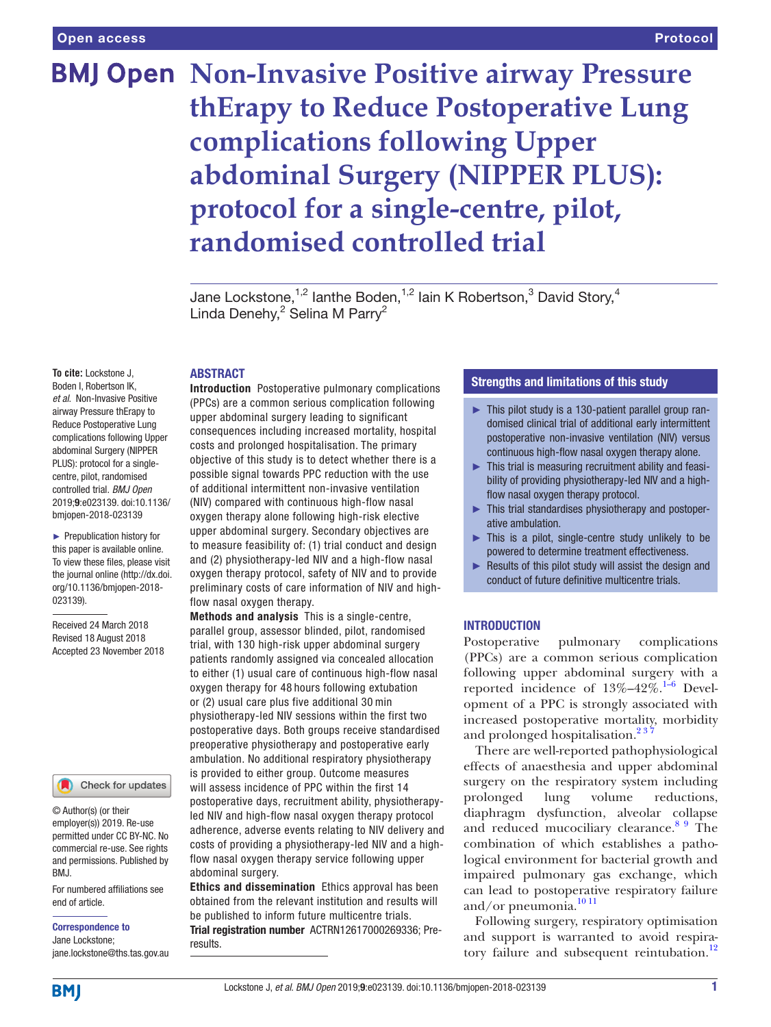# **BMJ Open Non-Invasive Positive airway Pressure thErapy to Reduce Postoperative Lung complications following Upper abdominal Surgery (NIPPER PLUS): protocol for a single-centre, pilot, randomised controlled trial**

Jane Lockstone,<sup>1,2</sup> lanthe Boden,<sup>1,2</sup> lain K Robertson,<sup>3</sup> David Story,<sup>4</sup> Linda Denehy,<sup>2</sup> Selina M Parry<sup>2</sup>

**ABSTRACT** 

**To cite:** Lockstone J, Boden I, Robertson IK, *et al*. Non-Invasive Positive airway Pressure thErapy to Reduce Postoperative Lung complications following Upper abdominal Surgery (NIPPER PLUS): protocol for a singlecentre, pilot, randomised controlled trial. *BMJ Open* 2019;9:e023139. doi:10.1136/ bmjopen-2018-023139

► Prepublication history for this paper is available online. To view these files, please visit the journal online [\(http://dx.doi.](http://dx.doi.org/10.1136/bmjopen-2018-023139) [org/10.1136/bmjopen-2018-](http://dx.doi.org/10.1136/bmjopen-2018-023139) [023139\)](http://dx.doi.org/10.1136/bmjopen-2018-023139).

Received 24 March 2018 Revised 18 August 2018 Accepted 23 November 2018



© Author(s) (or their employer(s)) 2019. Re-use permitted under CC BY-NC. No commercial re-use. See rights and permissions. Published by BMJ.

For numbered affiliations see end of article.

Correspondence to Jane Lockstone; jane.lockstone@ths.tas.gov.au Introduction Postoperative pulmonary complications (PPCs) are a common serious complication following upper abdominal surgery leading to significant consequences including increased mortality, hospital costs and prolonged hospitalisation. The primary objective of this study is to detect whether there is a possible signal towards PPC reduction with the use of additional intermittent non-invasive ventilation (NIV) compared with continuous high-flow nasal oxygen therapy alone following high-risk elective upper abdominal surgery. Secondary objectives are to measure feasibility of: (1) trial conduct and design and (2) physiotherapy-led NIV and a high-flow nasal oxygen therapy protocol, safety of NIV and to provide preliminary costs of care information of NIV and highflow nasal oxygen therapy.

Methods and analysis This is a single-centre, parallel group, assessor blinded, pilot, randomised trial, with 130 high-risk upper abdominal surgery patients randomly assigned via concealed allocation to either (1) usual care of continuous high-flow nasal oxygen therapy for 48 hours following extubation or (2) usual care plus five additional 30 min physiotherapy-led NIV sessions within the first two postoperative days. Both groups receive standardised preoperative physiotherapy and postoperative early ambulation. No additional respiratory physiotherapy is provided to either group. Outcome measures will assess incidence of PPC within the first 14 postoperative days, recruitment ability, physiotherapyled NIV and high-flow nasal oxygen therapy protocol adherence, adverse events relating to NIV delivery and costs of providing a physiotherapy-led NIV and a highflow nasal oxygen therapy service following upper abdominal surgery.

Ethics and dissemination Ethics approval has been obtained from the relevant institution and results will be published to inform future multicentre trials. Trial registration number ACTRN12617000269336; Preresults.

# Strengths and limitations of this study

- ► This pilot study is a 130-patient parallel group randomised clinical trial of additional early intermittent postoperative non-invasive ventilation (NIV) versus continuous high-flow nasal oxygen therapy alone.
- ► This trial is measuring recruitment ability and feasibility of providing physiotherapy-led NIV and a highflow nasal oxygen therapy protocol.
- ► This trial standardises physiotherapy and postoperative ambulation.
- ► This is a pilot, single-centre study unlikely to be powered to determine treatment effectiveness.
- Results of this pilot study will assist the design and conduct of future definitive multicentre trials.

# **INTRODUCTION**

Postoperative pulmonary complications (PPCs) are a common serious complication following upper abdominal surgery with a reported incidence of  $13\% - 42\%$ .<sup>1-6</sup> Development of a PPC is strongly associated with increased postoperative mortality, morbidity and prolonged hospitalisation.<sup>237</sup>

There are well-reported pathophysiological effects of anaesthesia and upper abdominal surgery on the respiratory system including prolonged lung volume reductions, diaphragm dysfunction, alveolar collapse and reduced mucociliary clearance.<sup>8 9</sup> The combination of which establishes a pathological environment for bacterial growth and impaired pulmonary gas exchange, which can lead to postoperative respiratory failure and/or pneumonia.<sup>[10 11](#page-12-3)</sup>

Following surgery, respiratory optimisation and support is warranted to avoid respira-tory failure and subsequent reintubation.<sup>[12](#page-12-4)</sup>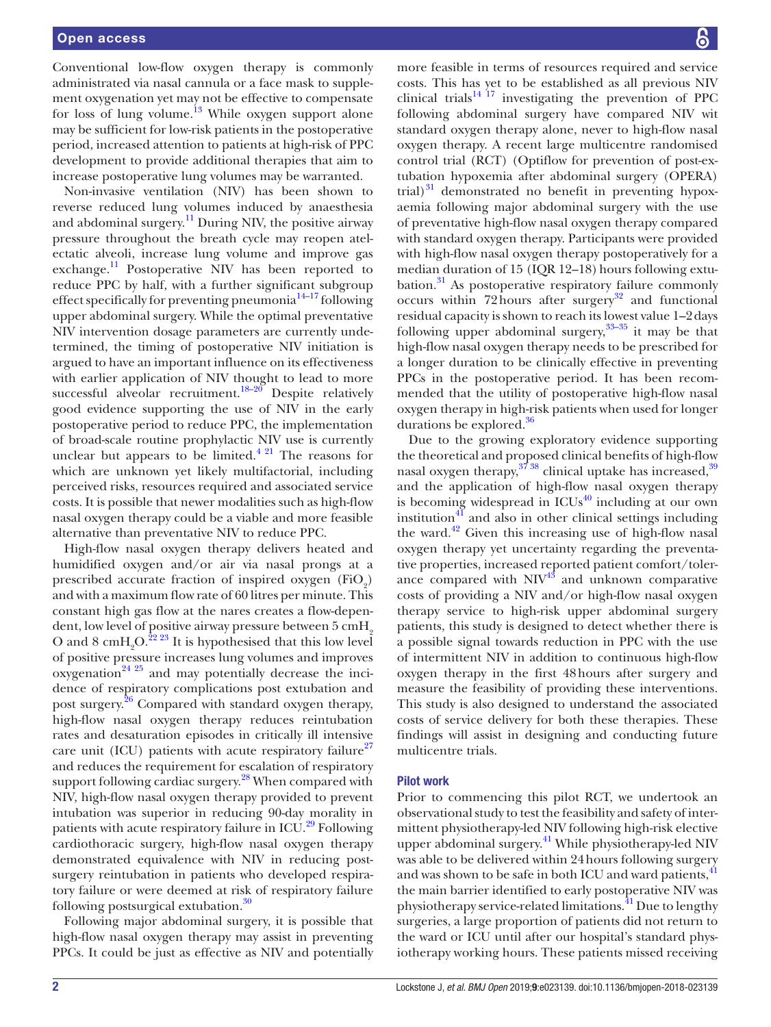Conventional low-flow oxygen therapy is commonly administrated via nasal cannula or a face mask to supplement oxygenation yet may not be effective to compensate for loss of lung volume. $13$  While oxygen support alone may be sufficient for low-risk patients in the postoperative period, increased attention to patients at high-risk of PPC development to provide additional therapies that aim to increase postoperative lung volumes may be warranted.

Non-invasive ventilation (NIV) has been shown to reverse reduced lung volumes induced by anaesthesia and abdominal surgery. $\frac{11}{11}$  During NIV, the positive airway pressure throughout the breath cycle may reopen atelectatic alveoli, increase lung volume and improve gas exchange.<sup>11</sup> Postoperative NIV has been reported to reduce PPC by half, with a further significant subgroup effect specifically for preventing pneumonia $14-17$  following upper abdominal surgery. While the optimal preventative NIV intervention dosage parameters are currently undetermined, the timing of postoperative NIV initiation is argued to have an important influence on its effectiveness with earlier application of NIV thought to lead to more successful alveolar recruitment.<sup>18–20</sup> Despite relatively good evidence supporting the use of NIV in the early postoperative period to reduce PPC, the implementation of broad-scale routine prophylactic NIV use is currently unclear but appears to be limited.<sup>[4 21](#page-12-9)</sup> The reasons for which are unknown yet likely multifactorial, including perceived risks, resources required and associated service costs. It is possible that newer modalities such as high-flow nasal oxygen therapy could be a viable and more feasible alternative than preventative NIV to reduce PPC.

High-flow nasal oxygen therapy delivers heated and humidified oxygen and/or air via nasal prongs at a prescribed accurate fraction of inspired oxygen  $(FiO_2)$ and with a maximum flow rate of 60 litres per minute. This constant high gas flow at the nares creates a flow-dependent, low level of positive airway pressure between 5 cmH<sub>2</sub> O and 8 cmH<sub>2</sub>O.<sup>[22 23](#page-12-10)</sup> It is hypothesised that this low level of positive pressure increases lung volumes and improves  $oxygenation<sup>24 25</sup>$  and may potentially decrease the incidence of respiratory complications post extubation and post surgery.[26](#page-12-12) Compared with standard oxygen therapy, high-flow nasal oxygen therapy reduces reintubation rates and desaturation episodes in critically ill intensive care unit (ICU) patients with acute respiratory failure<sup>[27](#page-12-13)</sup> and reduces the requirement for escalation of respiratory support following cardiac surgery.<sup>28</sup> When compared with NIV, high-flow nasal oxygen therapy provided to prevent intubation was superior in reducing 90-day morality in patients with acute respiratory failure in ICU.<sup>29</sup> Following cardiothoracic surgery, high-flow nasal oxygen therapy demonstrated equivalence with NIV in reducing postsurgery reintubation in patients who developed respiratory failure or were deemed at risk of respiratory failure following postsurgical extubation.<sup>[30](#page-13-2)</sup>

Following major abdominal surgery, it is possible that high-flow nasal oxygen therapy may assist in preventing PPCs. It could be just as effective as NIV and potentially

more feasible in terms of resources required and service costs. This has yet to be established as all previous NIV clinical trials<sup>14 17</sup> investigating the prevention of PPC following abdominal surgery have compared NIV wit standard oxygen therapy alone, never to high-flow nasal oxygen therapy. A recent large multicentre randomised control trial (RCT) (Optiflow for prevention of post-extubation hypoxemia after abdominal surgery (OPERA) trial) $31$  demonstrated no benefit in preventing hypoxaemia following major abdominal surgery with the use of preventative high-flow nasal oxygen therapy compared with standard oxygen therapy. Participants were provided with high-flow nasal oxygen therapy postoperatively for a median duration of  $15$  (IQR  $12-18$ ) hours following extubation. $31$  As postoperative respiratory failure commonly occurs within 72 hours after surgery<sup>32</sup> and functional residual capacity is shown to reach its lowest value 1–2days following upper abdominal surgery, $33-35$  it may be that high-flow nasal oxygen therapy needs to be prescribed for a longer duration to be clinically effective in preventing PPCs in the postoperative period. It has been recommended that the utility of postoperative high-flow nasal oxygen therapy in high-risk patients when used for longer durations be explored. $36$ 

Due to the growing exploratory evidence supporting the theoretical and proposed clinical benefits of high-flow nasal oxygen therapy,  $3738$  clinical uptake has increased,  $39$ and the application of high-flow nasal oxygen therapy is becoming widespread in  $ICUs<sup>40</sup>$  including at our own institution $41$  and also in other clinical settings including the ward. $42$  Given this increasing use of high-flow nasal oxygen therapy yet uncertainty regarding the preventative properties, increased reported patient comfort/tolerance compared with  $NIV^{43}$  and unknown comparative costs of providing a NIV and/or high-flow nasal oxygen therapy service to high-risk upper abdominal surgery patients, this study is designed to detect whether there is a possible signal towards reduction in PPC with the use of intermittent NIV in addition to continuous high-flow oxygen therapy in the first 48hours after surgery and measure the feasibility of providing these interventions. This study is also designed to understand the associated costs of service delivery for both these therapies. These findings will assist in designing and conducting future multicentre trials.

#### Pilot work

Prior to commencing this pilot RCT, we undertook an observational study to test the feasibility and safety of intermittent physiotherapy-led NIV following high-risk elective upper abdominal surgery. $^{41}$  While physiotherapy-led NIV was able to be delivered within 24hours following surgery and was shown to be safe in both ICU and ward patients, <sup>[41](#page-13-10)</sup> the main barrier identified to early postoperative NIV was physiotherapy service-related limitations.<sup>41</sup> Due to lengthy surgeries, a large proportion of patients did not return to the ward or ICU until after our hospital's standard physiotherapy working hours. These patients missed receiving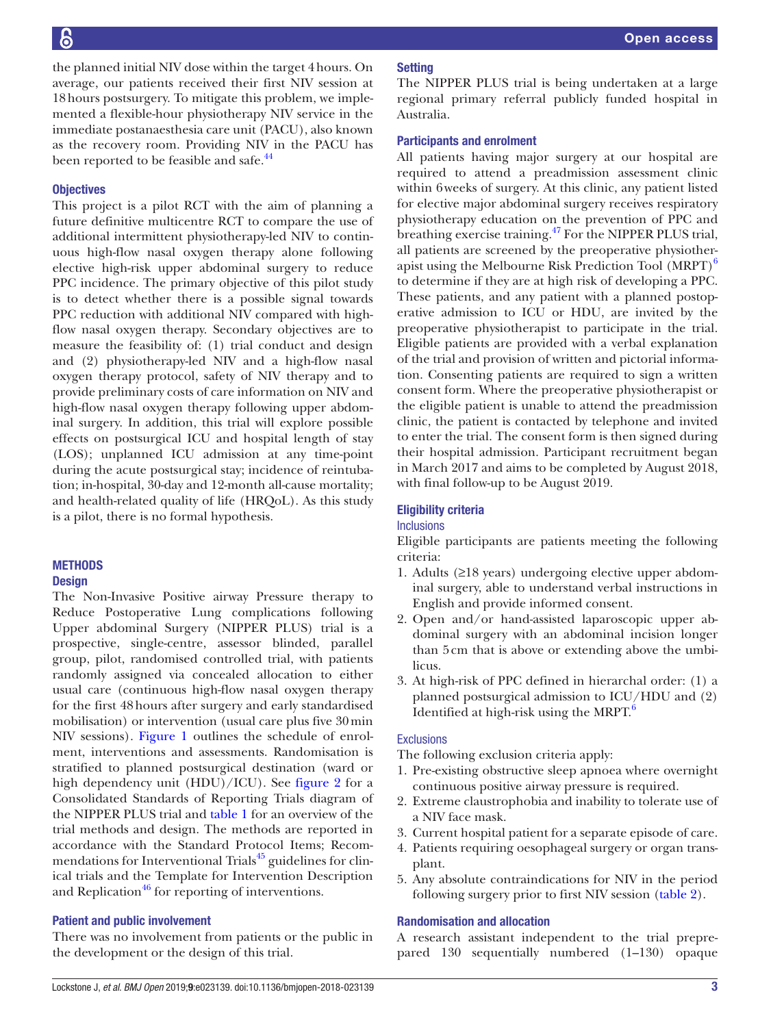the planned initial NIV dose within the target 4hours. On average, our patients received their first NIV session at 18hours postsurgery. To mitigate this problem, we implemented a flexible-hour physiotherapy NIV service in the immediate postanaesthesia care unit (PACU), also known as the recovery room. Providing NIV in the PACU has been reported to be feasible and safe.<sup>44</sup>

# **Objectives**

This project is a pilot RCT with the aim of planning a future definitive multicentre RCT to compare the use of additional intermittent physiotherapy-led NIV to continuous high-flow nasal oxygen therapy alone following elective high-risk upper abdominal surgery to reduce PPC incidence. The primary objective of this pilot study is to detect whether there is a possible signal towards PPC reduction with additional NIV compared with highflow nasal oxygen therapy. Secondary objectives are to measure the feasibility of: (1) trial conduct and design and (2) physiotherapy-led NIV and a high-flow nasal oxygen therapy protocol, safety of NIV therapy and to provide preliminary costs of care information on NIV and high-flow nasal oxygen therapy following upper abdominal surgery. In addition, this trial will explore possible effects on postsurgical ICU and hospital length of stay (LOS); unplanned ICU admission at any time-point during the acute postsurgical stay; incidence of reintubation; in-hospital, 30-day and 12-month all-cause mortality; and health-related quality of life (HRQoL). As this study is a pilot, there is no formal hypothesis.

# **METHODS**

# **Design**

The Non-Invasive Positive airway Pressure therapy to Reduce Postoperative Lung complications following Upper abdominal Surgery (NIPPER PLUS) trial is a prospective, single-centre, assessor blinded, parallel group, pilot, randomised controlled trial, with patients randomly assigned via concealed allocation to either usual care (continuous high-flow nasal oxygen therapy for the first 48hours after surgery and early standardised mobilisation) or intervention (usual care plus five 30min NIV sessions). [Figure](#page-3-0) 1 outlines the schedule of enrolment, interventions and assessments. Randomisation is stratified to planned postsurgical destination (ward or high dependency unit (HDU)/ICU). See [figure](#page-4-0) 2 for a Consolidated Standards of Reporting Trials diagram of the NIPPER PLUS trial and [table](#page-5-0) 1 for an overview of the trial methods and design. The methods are reported in accordance with the Standard Protocol Items; Recommendations for Interventional Trials<sup>45</sup> guidelines for clinical trials and the Template for Intervention Description and Replication<sup>46</sup> for reporting of interventions.

# Patient and public involvement

There was no involvement from patients or the public in the development or the design of this trial.

# **Setting**

The NIPPER PLUS trial is being undertaken at a large regional primary referral publicly funded hospital in Australia.

# Participants and enrolment

All patients having major surgery at our hospital are required to attend a preadmission assessment clinic within 6weeks of surgery. At this clinic, any patient listed for elective major abdominal surgery receives respiratory physiotherapy education on the prevention of PPC and breathing exercise training.<sup>[47](#page-13-16)</sup> For the NIPPER PLUS trial, all patients are screened by the preoperative physiotherapist using the Melbourne Risk Prediction Tool  $(MRPT)^6$  $(MRPT)^6$ to determine if they are at high risk of developing a PPC. These patients, and any patient with a planned postoperative admission to ICU or HDU, are invited by the preoperative physiotherapist to participate in the trial. Eligible patients are provided with a verbal explanation of the trial and provision of written and pictorial information. Consenting patients are required to sign a written consent form. Where the preoperative physiotherapist or the eligible patient is unable to attend the preadmission clinic, the patient is contacted by telephone and invited to enter the trial. The consent form is then signed during their hospital admission. Participant recruitment began in March 2017 and aims to be completed by August 2018, with final follow-up to be August 2019.

# Eligibility criteria

#### **Inclusions**

Eligible participants are patients meeting the following criteria:

- 1. Adults (≥18 years) undergoing elective upper abdominal surgery, able to understand verbal instructions in English and provide informed consent.
- 2. Open and/or hand-assisted laparoscopic upper abdominal surgery with an abdominal incision longer than 5cm that is above or extending above the umbilicus.
- 3. At high-risk of PPC defined in hierarchal order: (1) a planned postsurgical admission to ICU/HDU and (2) Identified at high-risk using the MRPT.<sup>[6](#page-12-14)</sup>

#### **Exclusions**

The following exclusion criteria apply:

- 1. Pre-existing obstructive sleep apnoea where overnight continuous positive airway pressure is required.
- 2. Extreme claustrophobia and inability to tolerate use of a NIV face mask.
- 3. Current hospital patient for a separate episode of care.
- 4. Patients requiring oesophageal surgery or organ transplant.
- 5. Any absolute contraindications for NIV in the period following surgery prior to first NIV session [\(table](#page-6-0) 2).

#### Randomisation and allocation

A research assistant independent to the trial preprepared 130 sequentially numbered (1–130) opaque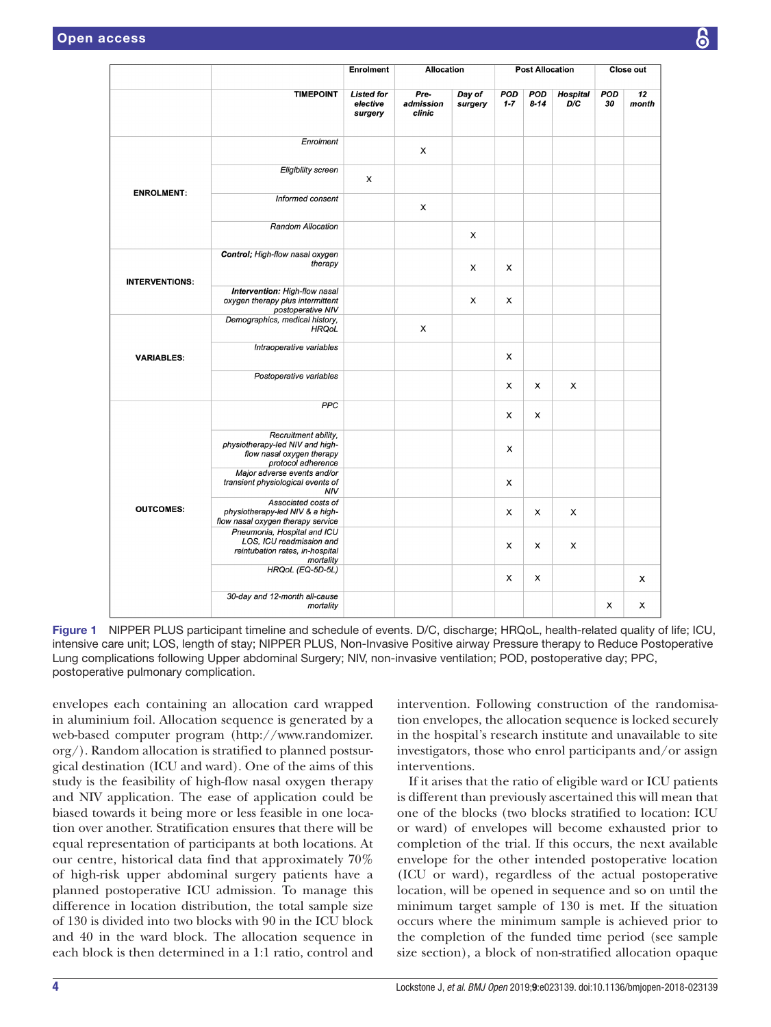|                       |                                                                                                            | <b>Enrolment</b>                         | <b>Allocation</b>           |                   |                       | <b>Post Allocation</b> |                        |           | <b>Close out</b> |
|-----------------------|------------------------------------------------------------------------------------------------------------|------------------------------------------|-----------------------------|-------------------|-----------------------|------------------------|------------------------|-----------|------------------|
|                       | <b>TIMEPOINT</b>                                                                                           | <b>Listed for</b><br>elective<br>surgery | Pre-<br>admission<br>clinic | Day of<br>surgery | <b>POD</b><br>$1 - 7$ | <b>POD</b><br>$8 - 14$ | <b>Hospital</b><br>D/C | POD<br>30 | 12<br>month      |
|                       | Enrolment                                                                                                  |                                          | X                           |                   |                       |                        |                        |           |                  |
|                       | <b>Eligibility screen</b>                                                                                  | X                                        |                             |                   |                       |                        |                        |           |                  |
| <b>ENROLMENT:</b>     | Informed consent                                                                                           |                                          | X                           |                   |                       |                        |                        |           |                  |
|                       | <b>Random Allocation</b>                                                                                   |                                          |                             | Х                 |                       |                        |                        |           |                  |
| <b>INTERVENTIONS:</b> | Control; High-flow nasal oxygen<br>therapy                                                                 |                                          |                             | X                 | X                     |                        |                        |           |                  |
|                       | Intervention: High-flow nasal<br>oxygen therapy plus intermittent<br>postoperative NIV                     |                                          |                             | X                 | x                     |                        |                        |           |                  |
|                       | Demographics, medical history,<br><b>HRQoL</b>                                                             |                                          | X                           |                   |                       |                        |                        |           |                  |
| <b>VARIABLES:</b>     | Intraoperative variables                                                                                   |                                          |                             |                   | X                     |                        |                        |           |                  |
|                       | Postoperative variables                                                                                    |                                          |                             |                   | x                     | X                      | Х                      |           |                  |
|                       | <b>PPC</b>                                                                                                 |                                          |                             |                   | x                     | X                      |                        |           |                  |
|                       | Recruitment ability,<br>physiotherapy-led NIV and high-<br>flow nasal oxygen therapy<br>protocol adherence |                                          |                             |                   | X                     |                        |                        |           |                  |
|                       | Major adverse events and/or<br>transient physiological events of<br><b>NIV</b>                             |                                          |                             |                   | x                     |                        |                        |           |                  |
| <b>OUTCOMES:</b>      | Associated costs of<br>physiotherapy-led NIV & a high-<br>flow nasal oxygen therapy service                |                                          |                             |                   | X                     | X                      | Х                      |           |                  |
|                       | Pneumonia, Hospital and ICU<br>LOS, ICU readmission and<br>reintubation rates, in-hospital<br>mortality    |                                          |                             |                   | x                     | X                      | х                      |           |                  |
|                       | HRQoL (EQ-5D-5L)                                                                                           |                                          |                             |                   | X                     | X                      |                        |           | X                |
|                       | 30-day and 12-month all-cause<br>mortality                                                                 |                                          |                             |                   |                       |                        |                        | x         | X                |

<span id="page-3-0"></span>Figure 1 NIPPER PLUS participant timeline and schedule of events. D/C, discharge; HRQoL, health-related quality of life; ICU, intensive care unit; LOS, length of stay; NIPPER PLUS, Non-Invasive Positive airway Pressure therapy to Reduce Postoperative Lung complications following Upper abdominal Surgery; NIV, non-invasive ventilation; POD, postoperative day; PPC, postoperative pulmonary complication.

envelopes each containing an allocation card wrapped in aluminium foil. Allocation sequence is generated by a web-based computer program [\(http://www.randomizer.](http://www.randomizer.org/) [org/](http://www.randomizer.org/)). Random allocation is stratified to planned postsurgical destination (ICU and ward). One of the aims of this study is the feasibility of high-flow nasal oxygen therapy and NIV application. The ease of application could be biased towards it being more or less feasible in one location over another. Stratification ensures that there will be equal representation of participants at both locations. At our centre, historical data find that approximately 70% of high-risk upper abdominal surgery patients have a planned postoperative ICU admission. To manage this difference in location distribution, the total sample size of 130 is divided into two blocks with 90 in the ICU block and 40 in the ward block. The allocation sequence in each block is then determined in a 1:1 ratio, control and

intervention. Following construction of the randomisation envelopes, the allocation sequence is locked securely in the hospital's research institute and unavailable to site investigators, those who enrol participants and/or assign interventions.

If it arises that the ratio of eligible ward or ICU patients is different than previously ascertained this will mean that one of the blocks (two blocks stratified to location: ICU or ward) of envelopes will become exhausted prior to completion of the trial. If this occurs, the next available envelope for the other intended postoperative location (ICU or ward), regardless of the actual postoperative location, will be opened in sequence and so on until the minimum target sample of 130 is met. If the situation occurs where the minimum sample is achieved prior to the completion of the funded time period (see sample size section), a block of non-stratified allocation opaque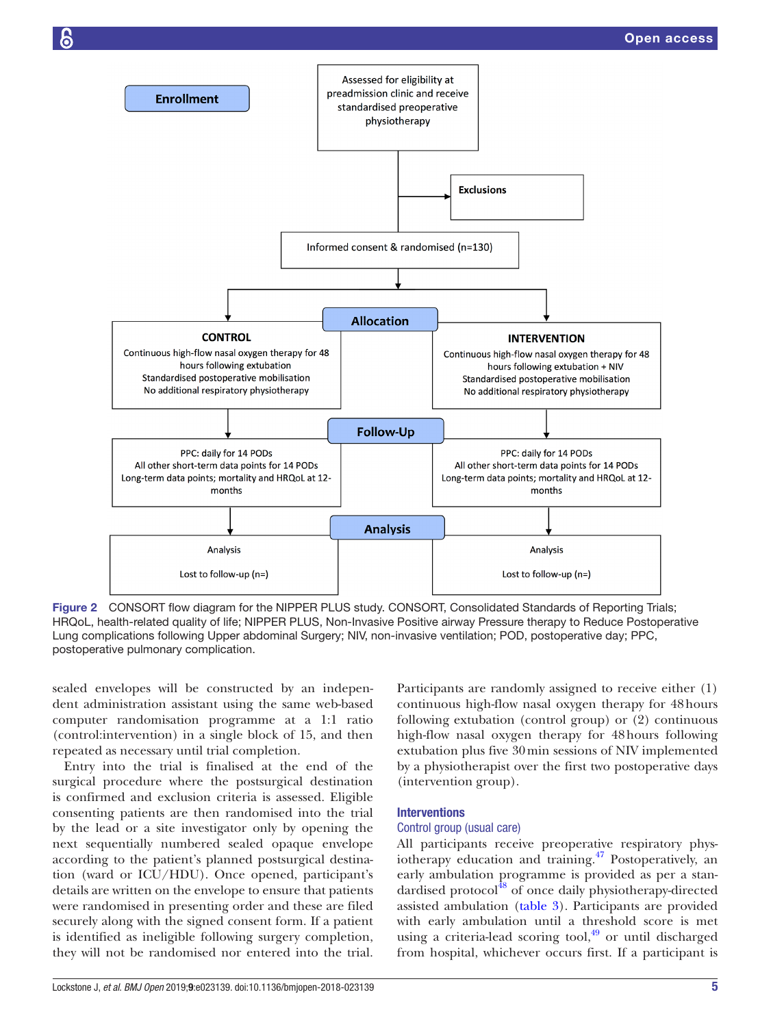

<span id="page-4-0"></span>Figure 2 CONSORT flow diagram for the NIPPER PLUS study. CONSORT, Consolidated Standards of Reporting Trials; HRQoL, health-related quality of life; NIPPER PLUS, Non-Invasive Positive airway Pressure therapy to Reduce Postoperative Lung complications following Upper abdominal Surgery; NIV, non-invasive ventilation; POD, postoperative day; PPC, postoperative pulmonary complication.

sealed envelopes will be constructed by an independent administration assistant using the same web-based computer randomisation programme at a 1:1 ratio (control:intervention) in a single block of 15, and then repeated as necessary until trial completion.

Entry into the trial is finalised at the end of the surgical procedure where the postsurgical destination is confirmed and exclusion criteria is assessed. Eligible consenting patients are then randomised into the trial by the lead or a site investigator only by opening the next sequentially numbered sealed opaque envelope according to the patient's planned postsurgical destination (ward or ICU/HDU). Once opened, participant's details are written on the envelope to ensure that patients were randomised in presenting order and these are filed securely along with the signed consent form. If a patient is identified as ineligible following surgery completion, they will not be randomised nor entered into the trial.

Participants are randomly assigned to receive either (1) continuous high-flow nasal oxygen therapy for 48hours following extubation (control group) or (2) continuous high-flow nasal oxygen therapy for 48hours following extubation plus five 30min sessions of NIV implemented by a physiotherapist over the first two postoperative days (intervention group).

# **Interventions**

#### Control group (usual care)

All participants receive preoperative respiratory physiotherapy education and training.<sup>47</sup> Postoperatively, an early ambulation programme is provided as per a standardised protocol $^{48}$  of once daily physiotherapy-directed assisted ambulation [\(table](#page-7-0) 3). Participants are provided with early ambulation until a threshold score is met using a criteria-lead scoring tool, $^{49}$  or until discharged from hospital, whichever occurs first. If a participant is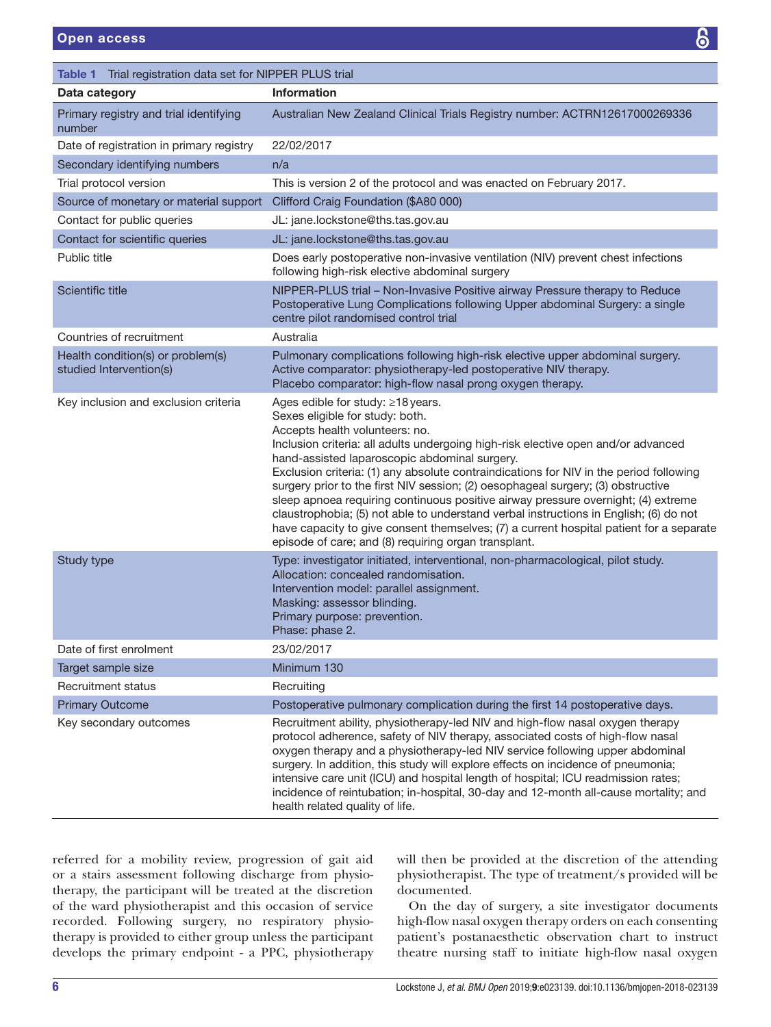<span id="page-5-0"></span>

| Trial registration data set for NIPPER PLUS trial<br>Table 1 |                                                                                                                                                                                                                                                                                                                                                                                                                                                                                                                                                                                                                                                                                                                                                             |  |  |  |
|--------------------------------------------------------------|-------------------------------------------------------------------------------------------------------------------------------------------------------------------------------------------------------------------------------------------------------------------------------------------------------------------------------------------------------------------------------------------------------------------------------------------------------------------------------------------------------------------------------------------------------------------------------------------------------------------------------------------------------------------------------------------------------------------------------------------------------------|--|--|--|
| Data category                                                | <b>Information</b>                                                                                                                                                                                                                                                                                                                                                                                                                                                                                                                                                                                                                                                                                                                                          |  |  |  |
| Primary registry and trial identifying<br>number             | Australian New Zealand Clinical Trials Registry number: ACTRN12617000269336                                                                                                                                                                                                                                                                                                                                                                                                                                                                                                                                                                                                                                                                                 |  |  |  |
| Date of registration in primary registry                     | 22/02/2017                                                                                                                                                                                                                                                                                                                                                                                                                                                                                                                                                                                                                                                                                                                                                  |  |  |  |
| Secondary identifying numbers                                | n/a                                                                                                                                                                                                                                                                                                                                                                                                                                                                                                                                                                                                                                                                                                                                                         |  |  |  |
| Trial protocol version                                       | This is version 2 of the protocol and was enacted on February 2017.                                                                                                                                                                                                                                                                                                                                                                                                                                                                                                                                                                                                                                                                                         |  |  |  |
| Source of monetary or material support                       | Clifford Craig Foundation (\$A80 000)                                                                                                                                                                                                                                                                                                                                                                                                                                                                                                                                                                                                                                                                                                                       |  |  |  |
| Contact for public queries                                   | JL: jane.lockstone@ths.tas.gov.au                                                                                                                                                                                                                                                                                                                                                                                                                                                                                                                                                                                                                                                                                                                           |  |  |  |
| Contact for scientific queries                               | JL: jane.lockstone@ths.tas.gov.au                                                                                                                                                                                                                                                                                                                                                                                                                                                                                                                                                                                                                                                                                                                           |  |  |  |
| Public title                                                 | Does early postoperative non-invasive ventilation (NIV) prevent chest infections<br>following high-risk elective abdominal surgery                                                                                                                                                                                                                                                                                                                                                                                                                                                                                                                                                                                                                          |  |  |  |
| Scientific title                                             | NIPPER-PLUS trial - Non-Invasive Positive airway Pressure therapy to Reduce<br>Postoperative Lung Complications following Upper abdominal Surgery: a single<br>centre pilot randomised control trial                                                                                                                                                                                                                                                                                                                                                                                                                                                                                                                                                        |  |  |  |
| Countries of recruitment                                     | Australia                                                                                                                                                                                                                                                                                                                                                                                                                                                                                                                                                                                                                                                                                                                                                   |  |  |  |
| Health condition(s) or problem(s)<br>studied Intervention(s) | Pulmonary complications following high-risk elective upper abdominal surgery.<br>Active comparator: physiotherapy-led postoperative NIV therapy.<br>Placebo comparator: high-flow nasal prong oxygen therapy.                                                                                                                                                                                                                                                                                                                                                                                                                                                                                                                                               |  |  |  |
| Key inclusion and exclusion criteria                         | Ages edible for study: ≥18 years.<br>Sexes eligible for study: both.<br>Accepts health volunteers: no.<br>Inclusion criteria: all adults undergoing high-risk elective open and/or advanced<br>hand-assisted laparoscopic abdominal surgery.<br>Exclusion criteria: (1) any absolute contraindications for NIV in the period following<br>surgery prior to the first NIV session; (2) oesophageal surgery; (3) obstructive<br>sleep apnoea requiring continuous positive airway pressure overnight; (4) extreme<br>claustrophobia; (5) not able to understand verbal instructions in English; (6) do not<br>have capacity to give consent themselves; (7) a current hospital patient for a separate<br>episode of care; and (8) requiring organ transplant. |  |  |  |
| Study type                                                   | Type: investigator initiated, interventional, non-pharmacological, pilot study.<br>Allocation: concealed randomisation.<br>Intervention model: parallel assignment.<br>Masking: assessor blinding.<br>Primary purpose: prevention.<br>Phase: phase 2.                                                                                                                                                                                                                                                                                                                                                                                                                                                                                                       |  |  |  |
| Date of first enrolment                                      | 23/02/2017                                                                                                                                                                                                                                                                                                                                                                                                                                                                                                                                                                                                                                                                                                                                                  |  |  |  |
| Target sample size                                           | Minimum 130                                                                                                                                                                                                                                                                                                                                                                                                                                                                                                                                                                                                                                                                                                                                                 |  |  |  |
| Recruitment status                                           | Recruiting                                                                                                                                                                                                                                                                                                                                                                                                                                                                                                                                                                                                                                                                                                                                                  |  |  |  |
| <b>Primary Outcome</b>                                       | Postoperative pulmonary complication during the first 14 postoperative days.                                                                                                                                                                                                                                                                                                                                                                                                                                                                                                                                                                                                                                                                                |  |  |  |
| Key secondary outcomes                                       | Recruitment ability, physiotherapy-led NIV and high-flow nasal oxygen therapy<br>protocol adherence, safety of NIV therapy, associated costs of high-flow nasal<br>oxygen therapy and a physiotherapy-led NIV service following upper abdominal<br>surgery. In addition, this study will explore effects on incidence of pneumonia;<br>intensive care unit (ICU) and hospital length of hospital; ICU readmission rates;<br>incidence of reintubation; in-hospital, 30-day and 12-month all-cause mortality; and<br>health related quality of life.                                                                                                                                                                                                         |  |  |  |

referred for a mobility review, progression of gait aid or a stairs assessment following discharge from physiotherapy, the participant will be treated at the discretion of the ward physiotherapist and this occasion of service recorded. Following surgery, no respiratory physiotherapy is provided to either group unless the participant develops the primary endpoint - a PPC, physiotherapy

will then be provided at the discretion of the attending physiotherapist. The type of treatment/s provided will be documented.

On the day of surgery, a site investigator documents high-flow nasal oxygen therapy orders on each consenting patient's postanaesthetic observation chart to instruct theatre nursing staff to initiate high-flow nasal oxygen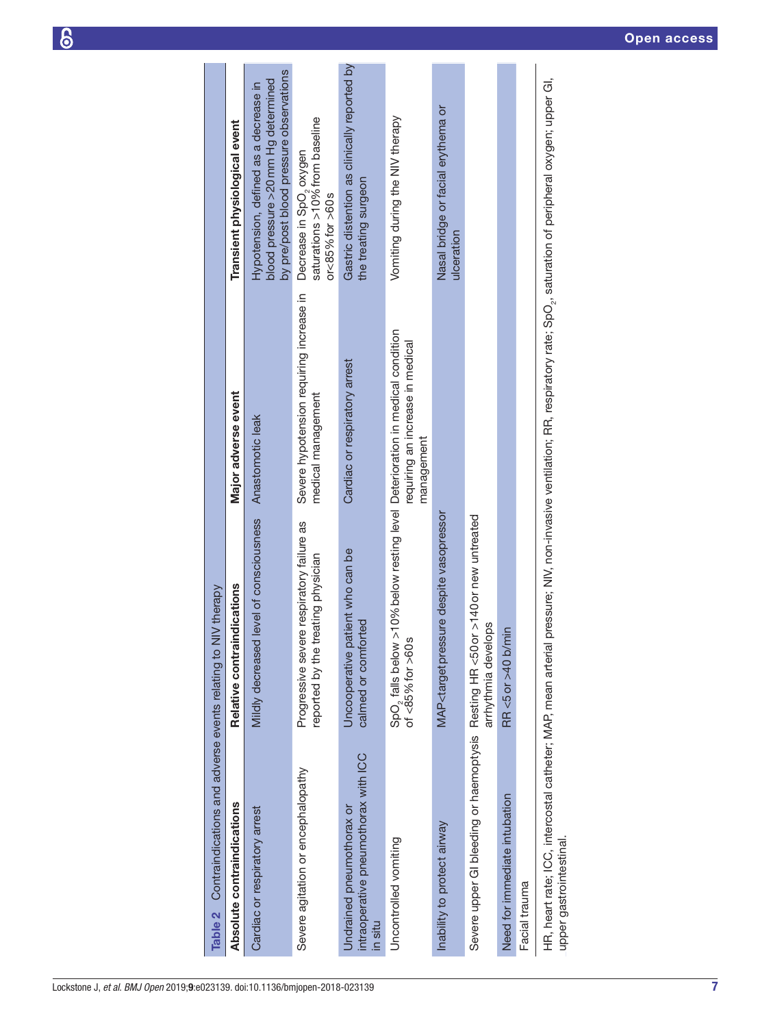<span id="page-6-0"></span>

| Table 2 Contraindications and adverse events relating to NIV therapy         |                                                                                                                                       |                                                                                                               |                                                                                                                         |
|------------------------------------------------------------------------------|---------------------------------------------------------------------------------------------------------------------------------------|---------------------------------------------------------------------------------------------------------------|-------------------------------------------------------------------------------------------------------------------------|
| Absolute contraindications                                                   | Relative contraindications                                                                                                            | Major adverse event                                                                                           | Transient physiological event                                                                                           |
| Cardiac or respiratory arrest                                                | level of consciousness<br>Mildly decreased                                                                                            | Anastomotic leak                                                                                              | by pre/post blood pressure observations<br>blood pressure >20 mm Hg determined<br>Hypotension, defined as a decrease in |
| Severe agitation or encephalopathy                                           | re respiratory failure as<br>reported by the treating physician<br>Progressive sever                                                  | Severe hypotension requiring increase in<br>medical management                                                | saturations >10% from baseline<br>Decrease in SpO, oxygen<br>$or < 85\%$ for $> 60s$                                    |
| intraoperative pneumothorax with ICC<br>Undrained pneumothorax or<br>in situ | Uncooperative patient who can be<br>calmed or comforted                                                                               | Cardiac or respiratory arrest                                                                                 | Gastric distention as clinically reported by<br>the treating surgeon                                                    |
| Uncontrolled vomiting                                                        | of $<85\%$ for $>60$ s<br>SpO, falls below                                                                                            | >10% below resting level Deterioration in medical condition<br>requiring an increase in medical<br>management | Vomiting during the NIV therapy                                                                                         |
| Inability to protect airway                                                  | MAP <target despite="" pressure="" td="" vasopressor<=""><td></td><td>Nasal bridge or facial erythema or<br/>ulceration</td></target> |                                                                                                               | Nasal bridge or facial erythema or<br>ulceration                                                                        |
|                                                                              | Severe upper GI bleeding or haemoptysis Resting HR <50 or >140 or new untreated<br>arrhythmia develops                                |                                                                                                               |                                                                                                                         |
| Need for immediate intubation                                                | RR<5 or >40 b/min                                                                                                                     |                                                                                                               |                                                                                                                         |
| Facial trauma                                                                |                                                                                                                                       |                                                                                                               |                                                                                                                         |
|                                                                              |                                                                                                                                       |                                                                                                               |                                                                                                                         |

HR, heart rate; ICC, intercostal catheter; MAP, mean arterial pressure; NIV, non-invasive ventilation; RR, respiratory rate; SpO2, saturation of peripheral oxygen; upper GI, HR, heart rate; ICC, intercostal catheter; MAP, mean arterial pressure; NIV, non-invasive ventilation; RR, respiratory rate; SpO<sub>2</sub>, saturation of peripheral oxygen; upper GI,<br>upper gastrointestinal. upper gastrointestinal.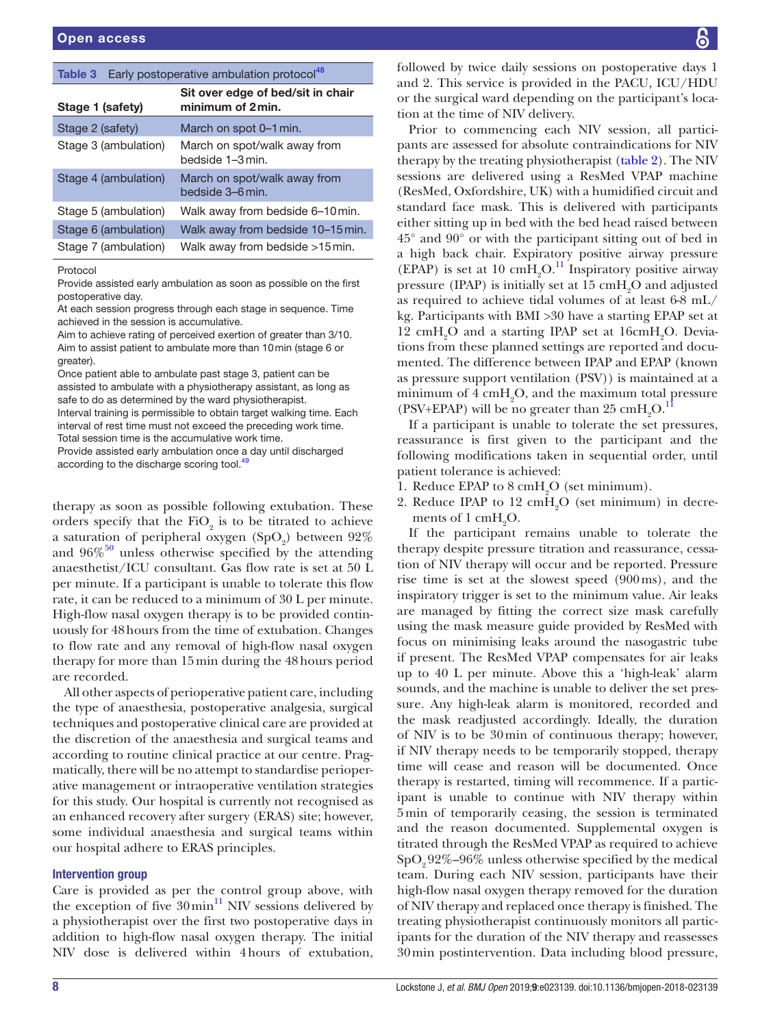<span id="page-7-0"></span>

| Table 3              | Early postoperative ambulation protocol <sup>48</sup>  |
|----------------------|--------------------------------------------------------|
| Stage 1 (safety)     | Sit over edge of bed/sit in chair<br>minimum of 2 min. |
| Stage 2 (safety)     | March on spot 0-1 min.                                 |
| Stage 3 (ambulation) | March on spot/walk away from<br>bedside 1-3 min.       |
| Stage 4 (ambulation) | March on spot/walk away from<br>bedside 3-6 min.       |
| Stage 5 (ambulation) | Walk away from bedside 6-10 min.                       |
| Stage 6 (ambulation) | Walk away from bedside 10–15 min.                      |
| Stage 7 (ambulation) | Walk away from bedside >15 min.                        |

#### Protocol

Provide assisted early ambulation as soon as possible on the first postoperative day.

At each session progress through each stage in sequence. Time achieved in the session is accumulative.

Aim to achieve rating of perceived exertion of greater than 3/10. Aim to assist patient to ambulate more than 10min (stage 6 or greater).

Once patient able to ambulate past stage 3, patient can be assisted to ambulate with a physiotherapy assistant, as long as safe to do as determined by the ward physiotherapist. Interval training is permissible to obtain target walking time. Each interval of rest time must not exceed the preceding work time. Total session time is the accumulative work time.

Provide assisted early ambulation once a day until discharged according to the discharge scoring tool.<sup>[49](#page-13-18)</sup>

therapy as soon as possible following extubation. These orders specify that the  $FiO_2$  is to be titrated to achieve a saturation of peripheral oxygen  $(SpO<sub>2</sub>)$  between 92% and  $96\%$ <sup>50</sup> unless otherwise specified by the attending anaesthetist/ICU consultant. Gas flow rate is set at 50 L per minute. If a participant is unable to tolerate this flow rate, it can be reduced to a minimum of 30 L per minute. High-flow nasal oxygen therapy is to be provided continuously for 48hours from the time of extubation. Changes to flow rate and any removal of high-flow nasal oxygen therapy for more than 15min during the 48hours period are recorded.

All other aspects of perioperative patient care, including the type of anaesthesia, postoperative analgesia, surgical techniques and postoperative clinical care are provided at the discretion of the anaesthesia and surgical teams and according to routine clinical practice at our centre. Pragmatically, there will be no attempt to standardise perioperative management or intraoperative ventilation strategies for this study. Our hospital is currently not recognised as an enhanced recovery after surgery (ERAS) site; however, some individual anaesthesia and surgical teams within our hospital adhere to ERAS principles.

#### Intervention group

Care is provided as per the control group above, with the exception of five  $30$  min<sup>[11](#page-12-6)</sup> NIV sessions delivered by a physiotherapist over the first two postoperative days in addition to high-flow nasal oxygen therapy. The initial NIV dose is delivered within 4hours of extubation,

followed by twice daily sessions on postoperative days 1 and 2. This service is provided in the PACU, ICU/HDU or the surgical ward depending on the participant's location at the time of NIV delivery.

Prior to commencing each NIV session, all participants are assessed for absolute contraindications for NIV therapy by the treating physiotherapist ([table](#page-6-0) 2). The NIV sessions are delivered using a ResMed VPAP machine (ResMed, Oxfordshire, UK) with a humidified circuit and standard face mask. This is delivered with participants either sitting up in bed with the bed head raised between 45° and 90° or with the participant sitting out of bed in a high back chair. Expiratory positive airway pressure (EPAP) is set at 10 cm $H_2O^{11}$  Inspiratory positive airway pressure (IPAP) is initially set at  $15\ \mathrm{cm}H_2\mathrm{O}$  and adjusted as required to achieve tidal volumes of at least 6-8 mL/ kg. Participants with BMI >30 have a starting EPAP set at 12 cmH<sub>2</sub>O and a starting IPAP set at  $16 \text{cm} + \text{H}_2$ O. Deviations from these planned settings are reported and documented. The difference between IPAP and EPAP (known as pressure support ventilation (PSV)) is maintained at a minimum of  $4 \text{ cm}H_2O$ , and the maximum total pressure (PSV+EPAP) will be no greater than 25 cmH<sub>2</sub>O.<sup>11</sup>

If a participant is unable to tolerate the set pressures, reassurance is first given to the participant and the following modifications taken in sequential order, until patient tolerance is achieved:

- 1. Reduce EPAP to  $8 \text{ cm}H_2O$  (set minimum).
- 2. Reduce IPAP to  $12 \text{ cm} + 12 \text{ cm}$  (set minimum) in decrements of  $1 \text{ cm} \text{H}_2\text{O}$ .

If the participant remains unable to tolerate the therapy despite pressure titration and reassurance, cessation of NIV therapy will occur and be reported. Pressure rise time is set at the slowest speed (900ms), and the inspiratory trigger is set to the minimum value. Air leaks are managed by fitting the correct size mask carefully using the mask measure guide provided by ResMed with focus on minimising leaks around the nasogastric tube if present. The ResMed VPAP compensates for air leaks up to 40 L per minute. Above this a 'high-leak' alarm sounds, and the machine is unable to deliver the set pressure. Any high-leak alarm is monitored, recorded and the mask readjusted accordingly. Ideally, the duration of NIV is to be 30min of continuous therapy; however, if NIV therapy needs to be temporarily stopped, therapy time will cease and reason will be documented. Once therapy is restarted, timing will recommence. If a participant is unable to continue with NIV therapy within 5min of temporarily ceasing, the session is terminated and the reason documented. Supplemental oxygen is titrated through the ResMed VPAP as required to achieve  $SpO, 92\%$ –96% unless otherwise specified by the medical team. During each NIV session, participants have their high-flow nasal oxygen therapy removed for the duration of NIV therapy and replaced once therapy is finished. The treating physiotherapist continuously monitors all participants for the duration of the NIV therapy and reassesses 30min postintervention. Data including blood pressure,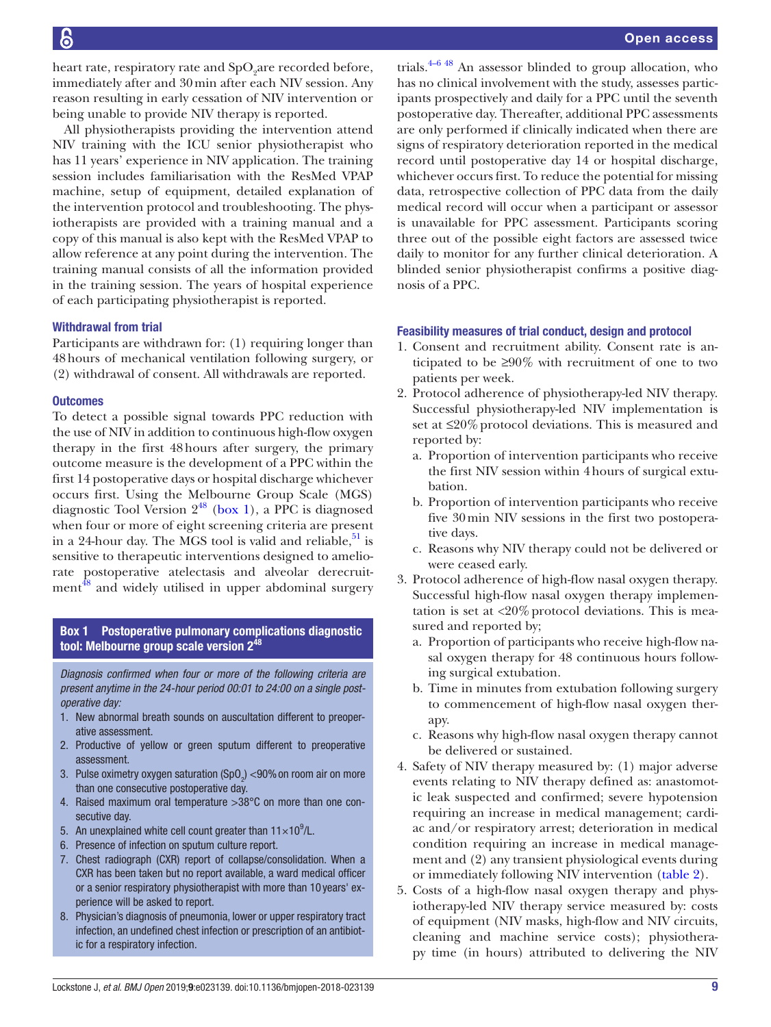heart rate, respiratory rate and SpO<sub>2</sub>are recorded before, immediately after and 30min after each NIV session. Any reason resulting in early cessation of NIV intervention or being unable to provide NIV therapy is reported.

All physiotherapists providing the intervention attend NIV training with the ICU senior physiotherapist who has 11 years' experience in NIV application. The training session includes familiarisation with the ResMed VPAP machine, setup of equipment, detailed explanation of the intervention protocol and troubleshooting. The physiotherapists are provided with a training manual and a copy of this manual is also kept with the ResMed VPAP to allow reference at any point during the intervention. The training manual consists of all the information provided in the training session. The years of hospital experience of each participating physiotherapist is reported.

# Withdrawal from trial

Participants are withdrawn for: (1) requiring longer than 48hours of mechanical ventilation following surgery, or (2) withdrawal of consent. All withdrawals are reported.

# **Outcomes**

To detect a possible signal towards PPC reduction with the use of NIV in addition to continuous high-flow oxygen therapy in the first 48hours after surgery, the primary outcome measure is the development of a PPC within the first 14 postoperative days or hospital discharge whichever occurs first. Using the Melbourne Group Scale (MGS) diagnostic Tool Version  $2^{48}$  $2^{48}$  $2^{48}$  ([box](#page-8-0) 1), a PPC is diagnosed when four or more of eight screening criteria are present in a 24-hour day. The MGS tool is valid and reliable, $51$  is sensitive to therapeutic interventions designed to ameliorate postoperative atelectasis and alveolar derecruit-ment<sup>[48](#page-13-17)</sup> and widely utilised in upper abdominal surgery

# Box 1 Postoperative pulmonary complications diagnostic tool: Melbourne group scale version 2<sup>[48](#page-13-17)</sup>

<span id="page-8-0"></span>*Diagnosis confirmed when four or more of the following criteria are present anytime in the 24-hour period 00:01 to 24:00 on a single postoperative day:*

- 1. New abnormal breath sounds on auscultation different to preoperative assessment.
- 2. Productive of yellow or green sputum different to preoperative assessment.
- 3. Pulse oximetry oxygen saturation (SpO<sub>2</sub>) <90% on room air on more than one consecutive postoperative day.
- 4. Raised maximum oral temperature >38°C on more than one consecutive day.
- 5. An unexplained white cell count greater than  $11 \times 10^9$ /L.
- 6. Presence of infection on sputum culture report.
- 7. Chest radiograph (CXR) report of collapse/consolidation. When a CXR has been taken but no report available, a ward medical officer or a senior respiratory physiotherapist with more than 10 years' experience will be asked to report.
- 8. Physician's diagnosis of pneumonia, lower or upper respiratory tract infection, an undefined chest infection or prescription of an antibiotic for a respiratory infection.

trials.<sup>[4–6 48](#page-12-9)</sup> An assessor blinded to group allocation, who has no clinical involvement with the study, assesses participants prospectively and daily for a PPC until the seventh postoperative day. Thereafter, additional PPC assessments are only performed if clinically indicated when there are signs of respiratory deterioration reported in the medical record until postoperative day 14 or hospital discharge, whichever occurs first. To reduce the potential for missing data, retrospective collection of PPC data from the daily medical record will occur when a participant or assessor is unavailable for PPC assessment. Participants scoring three out of the possible eight factors are assessed twice daily to monitor for any further clinical deterioration. A blinded senior physiotherapist confirms a positive diagnosis of a PPC.

# Feasibility measures of trial conduct, design and protocol

- 1. Consent and recruitment ability. Consent rate is anticipated to be ≥90% with recruitment of one to two patients per week.
- 2. Protocol adherence of physiotherapy-led NIV therapy. Successful physiotherapy-led NIV implementation is set at  $\leq$ 20% protocol deviations. This is measured and reported by:
	- a. Proportion of intervention participants who receive the first NIV session within 4hours of surgical extubation.
	- b. Proportion of intervention participants who receive five 30min NIV sessions in the first two postoperative days.
	- c. Reasons why NIV therapy could not be delivered or were ceased early.
- 3. Protocol adherence of high-flow nasal oxygen therapy. Successful high-flow nasal oxygen therapy implementation is set at  $\langle 20\%$  protocol deviations. This is measured and reported by;
	- a. Proportion of participants who receive high-flow nasal oxygen therapy for 48 continuous hours following surgical extubation.
	- b. Time in minutes from extubation following surgery to commencement of high-flow nasal oxygen therapy.
	- c. Reasons why high-flow nasal oxygen therapy cannot be delivered or sustained.
- 4. Safety of NIV therapy measured by: (1) major adverse events relating to NIV therapy defined as: anastomotic leak suspected and confirmed; severe hypotension requiring an increase in medical management; cardiac and/or respiratory arrest; deterioration in medical condition requiring an increase in medical management and (2) any transient physiological events during or immediately following NIV intervention ([table](#page-6-0) 2).
- 5. Costs of a high-flow nasal oxygen therapy and physiotherapy-led NIV therapy service measured by: costs of equipment (NIV masks, high-flow and NIV circuits, cleaning and machine service costs); physiotherapy time (in hours) attributed to delivering the NIV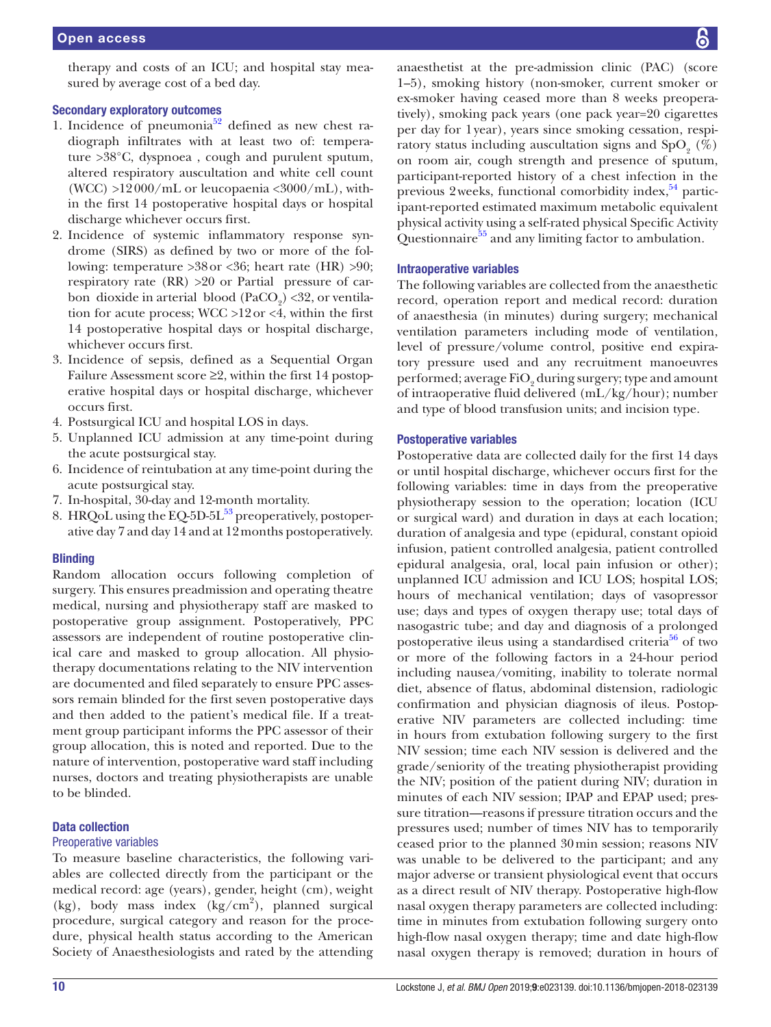therapy and costs of an ICU; and hospital stay measured by average cost of a bed day.

# Secondary exploratory outcomes

- 1. Incidence of pneumonia<sup>52</sup> defined as new chest radiograph infiltrates with at least two of: temperature >38°C, dyspnoea , cough and purulent sputum, altered respiratory auscultation and white cell count (WCC) >12000/mL or leucopaenia <3000/mL), within the first 14 postoperative hospital days or hospital discharge whichever occurs first.
- 2. Incidence of systemic inflammatory response syndrome (SIRS) as defined by two or more of the following: temperature >38or <36; heart rate (HR) >90; respiratory rate (RR) >20 or Partial pressure of carbon dioxide in arterial blood (PaCO<sub>2</sub>) <32, or ventilation for acute process; WCC >12or <4, within the first 14 postoperative hospital days or hospital discharge, whichever occurs first.
- 3. Incidence of sepsis, defined as a Sequential Organ Failure Assessment score  $\geq 2$ , within the first 14 postoperative hospital days or hospital discharge, whichever occurs first.
- 4. Postsurgical ICU and hospital LOS in days.
- 5. Unplanned ICU admission at any time-point during the acute postsurgical stay.
- 6. Incidence of reintubation at any time-point during the acute postsurgical stay.
- 7. In-hospital, 30-day and 12-month mortality.
- 8. HRQoL using the EQ-5D-5L $^{53}$  preoperatively, postoperative day 7 and day 14 and at 12months postoperatively.

# **Blinding**

Random allocation occurs following completion of surgery. This ensures preadmission and operating theatre medical, nursing and physiotherapy staff are masked to postoperative group assignment. Postoperatively, PPC assessors are independent of routine postoperative clinical care and masked to group allocation. All physiotherapy documentations relating to the NIV intervention are documented and filed separately to ensure PPC assessors remain blinded for the first seven postoperative days and then added to the patient's medical file. If a treatment group participant informs the PPC assessor of their group allocation, this is noted and reported. Due to the nature of intervention, postoperative ward staff including nurses, doctors and treating physiotherapists are unable to be blinded.

# Data collection

#### Preoperative variables

To measure baseline characteristics, the following variables are collected directly from the participant or the medical record: age (years), gender, height (cm), weight  $(kg)$ , body mass index  $(kg/cm<sup>2</sup>)$ , planned surgical procedure, surgical category and reason for the procedure, physical health status according to the American Society of Anaesthesiologists and rated by the attending

anaesthetist at the pre-admission clinic (PAC) (score 1–5), smoking history (non-smoker, current smoker or ex-smoker having ceased more than 8 weeks preoperatively), smoking pack years (one pack year=20 cigarettes per day for 1year), years since smoking cessation, respi-

ratory status including auscultation signs and  $SpO<sub>2</sub>(%)$ on room air, cough strength and presence of sputum, participant-reported history of a chest infection in the previous 2 weeks, functional comorbidity index, $54$  participant-reported estimated maximum metabolic equivalent physical activity using a self-rated physical Specific Activity Questionnaire $55$  and any limiting factor to ambulation.

# Intraoperative variables

The following variables are collected from the anaesthetic record, operation report and medical record: duration of anaesthesia (in minutes) during surgery; mechanical ventilation parameters including mode of ventilation, level of pressure/volume control, positive end expiratory pressure used and any recruitment manoeuvres performed; average  $\rm{FiO}_2$  during surgery; type and amount of intraoperative fluid delivered (mL/kg/hour); number and type of blood transfusion units; and incision type.

#### Postoperative variables

Postoperative data are collected daily for the first 14 days or until hospital discharge, whichever occurs first for the following variables: time in days from the preoperative physiotherapy session to the operation; location (ICU or surgical ward) and duration in days at each location; duration of analgesia and type (epidural, constant opioid infusion, patient controlled analgesia, patient controlled epidural analgesia, oral, local pain infusion or other); unplanned ICU admission and ICU LOS; hospital LOS; hours of mechanical ventilation; days of vasopressor use; days and types of oxygen therapy use; total days of nasogastric tube; and day and diagnosis of a prolonged postoperative ileus using a standardised criteria<sup>56</sup> of two or more of the following factors in a 24-hour period including nausea/vomiting, inability to tolerate normal diet, absence of flatus, abdominal distension, radiologic confirmation and physician diagnosis of ileus. Postoperative NIV parameters are collected including: time in hours from extubation following surgery to the first NIV session; time each NIV session is delivered and the grade/seniority of the treating physiotherapist providing the NIV; position of the patient during NIV; duration in minutes of each NIV session; IPAP and EPAP used; pressure titration—reasons if pressure titration occurs and the pressures used; number of times NIV has to temporarily ceased prior to the planned 30min session; reasons NIV was unable to be delivered to the participant; and any major adverse or transient physiological event that occurs as a direct result of NIV therapy. Postoperative high-flow nasal oxygen therapy parameters are collected including: time in minutes from extubation following surgery onto high-flow nasal oxygen therapy; time and date high-flow nasal oxygen therapy is removed; duration in hours of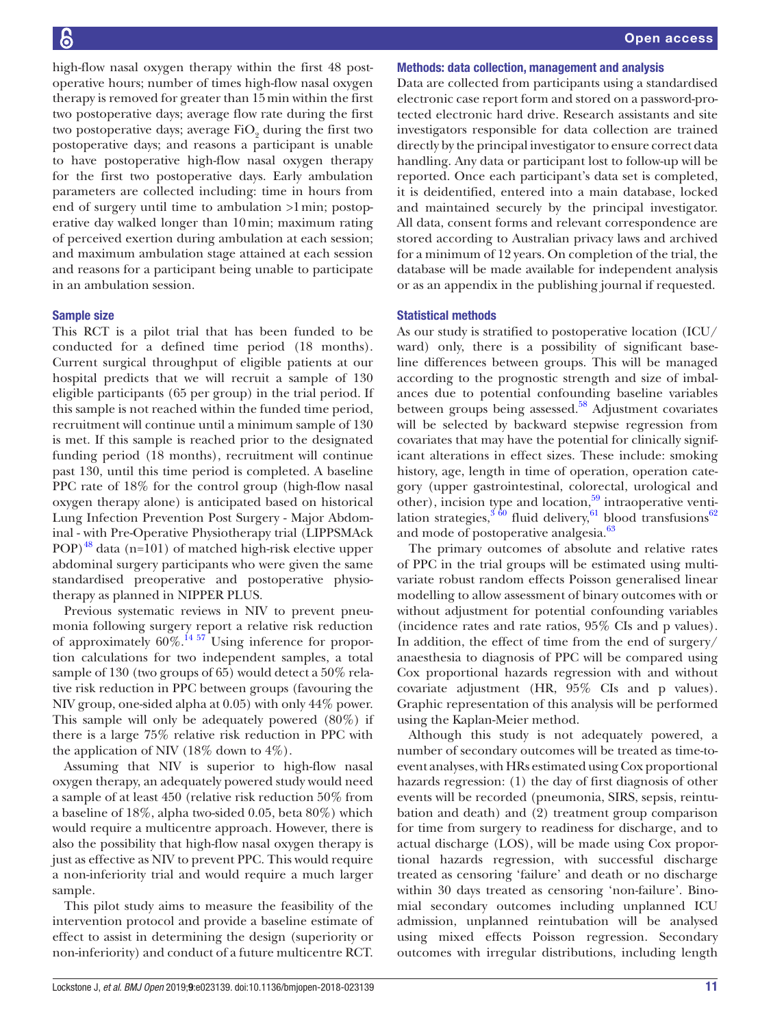high-flow nasal oxygen therapy within the first 48 postoperative hours; number of times high-flow nasal oxygen therapy is removed for greater than 15min within the first two postoperative days; average flow rate during the first two postoperative days; average  $\mathrm{FiO}_2$  during the first two postoperative days; and reasons a participant is unable to have postoperative high-flow nasal oxygen therapy for the first two postoperative days. Early ambulation parameters are collected including: time in hours from end of surgery until time to ambulation  $>1$  min; postoperative day walked longer than 10min; maximum rating of perceived exertion during ambulation at each session; and maximum ambulation stage attained at each session and reasons for a participant being unable to participate in an ambulation session.

# Sample size

This RCT is a pilot trial that has been funded to be conducted for a defined time period (18 months). Current surgical throughput of eligible patients at our hospital predicts that we will recruit a sample of 130 eligible participants (65 per group) in the trial period. If this sample is not reached within the funded time period, recruitment will continue until a minimum sample of 130 is met. If this sample is reached prior to the designated funding period (18 months), recruitment will continue past 130, until this time period is completed. A baseline PPC rate of 18% for the control group (high-flow nasal oxygen therapy alone) is anticipated based on historical Lung Infection Prevention Post Surgery - Major Abdominal - with Pre-Operative Physiotherapy trial (LIPPSMAck POP)<sup>48</sup> data (n=101) of matched high-risk elective upper abdominal surgery participants who were given the same standardised preoperative and postoperative physiotherapy as planned in NIPPER PLUS.

Previous systematic reviews in NIV to prevent pneumonia following surgery report a relative risk reduction of approximately  $60\%$ .<sup>14 57</sup> Using inference for proportion calculations for two independent samples, a total sample of 130 (two groups of 65) would detect a 50% relative risk reduction in PPC between groups (favouring the NIV group, one-sided alpha at 0.05) with only 44% power. This sample will only be adequately powered (80%) if there is a large 75% relative risk reduction in PPC with the application of NIV (18% down to 4%).

Assuming that NIV is superior to high-flow nasal oxygen therapy, an adequately powered study would need a sample of at least 450 (relative risk reduction 50% from a baseline of 18%, alpha two-sided 0.05, beta 80%) which would require a multicentre approach. However, there is also the possibility that high-flow nasal oxygen therapy is just as effective as NIV to prevent PPC. This would require a non-inferiority trial and would require a much larger sample.

This pilot study aims to measure the feasibility of the intervention protocol and provide a baseline estimate of effect to assist in determining the design (superiority or non-inferiority) and conduct of a future multicentre RCT.

# Methods: data collection, management and analysis

Data are collected from participants using a standardised electronic case report form and stored on a password-protected electronic hard drive. Research assistants and site investigators responsible for data collection are trained directly by the principal investigator to ensure correct data handling. Any data or participant lost to follow-up will be reported. Once each participant's data set is completed, it is deidentified, entered into a main database, locked and maintained securely by the principal investigator. All data, consent forms and relevant correspondence are stored according to Australian privacy laws and archived for a minimum of 12 years. On completion of the trial, the database will be made available for independent analysis or as an appendix in the publishing journal if requested.

# Statistical methods

As our study is stratified to postoperative location (ICU/ ward) only, there is a possibility of significant baseline differences between groups. This will be managed according to the prognostic strength and size of imbalances due to potential confounding baseline variables between groups being assessed. $58$  Adjustment covariates will be selected by backward stepwise regression from covariates that may have the potential for clinically significant alterations in effect sizes. These include: smoking history, age, length in time of operation, operation category (upper gastrointestinal, colorectal, urological and  $\text{other}$ ), incision type and location,<sup>59</sup> intraoperative venti-lation strategies,<sup>3 60</sup> fluid delivery,<sup>61</sup> blood transfusions<sup>[62](#page-13-29)</sup> and mode of postoperative analgesia.<sup>[63](#page-13-30)</sup>

The primary outcomes of absolute and relative rates of PPC in the trial groups will be estimated using multivariate robust random effects Poisson generalised linear modelling to allow assessment of binary outcomes with or without adjustment for potential confounding variables (incidence rates and rate ratios, 95% CIs and p values). In addition, the effect of time from the end of surgery/ anaesthesia to diagnosis of PPC will be compared using Cox proportional hazards regression with and without covariate adjustment (HR, 95% CIs and p values). Graphic representation of this analysis will be performed using the Kaplan-Meier method.

Although this study is not adequately powered, a number of secondary outcomes will be treated as time-toevent analyses, with HRs estimated using Cox proportional hazards regression: (1) the day of first diagnosis of other events will be recorded (pneumonia, SIRS, sepsis, reintubation and death) and (2) treatment group comparison for time from surgery to readiness for discharge, and to actual discharge (LOS), will be made using Cox proportional hazards regression, with successful discharge treated as censoring 'failure' and death or no discharge within 30 days treated as censoring 'non-failure'. Binomial secondary outcomes including unplanned ICU admission, unplanned reintubation will be analysed using mixed effects Poisson regression. Secondary outcomes with irregular distributions, including length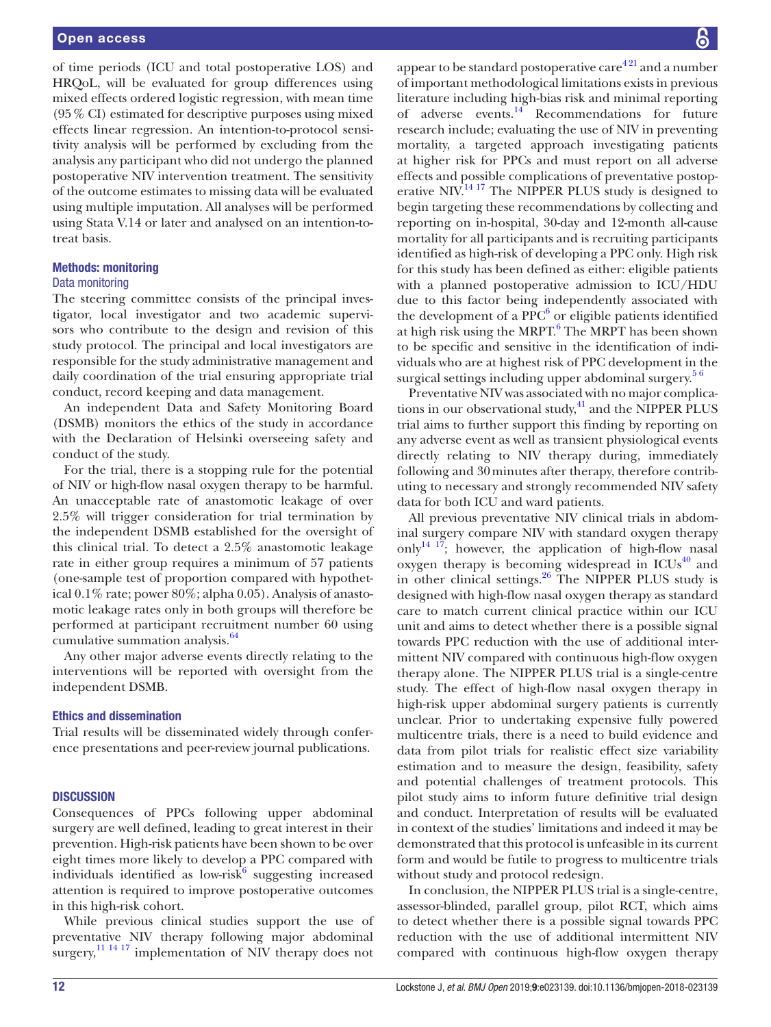of time periods (ICU and total postoperative LOS) and HRQoL, will be evaluated for group differences using mixed effects ordered logistic regression, with mean time (95% CI) estimated for descriptive purposes using mixed effects linear regression. An intention-to-protocol sensitivity analysis will be performed by excluding from the analysis any participant who did not undergo the planned postoperative NIV intervention treatment. The sensitivity of the outcome estimates to missing data will be evaluated using multiple imputation. All analyses will be performed using Stata V.14 or later and analysed on an intention-totreat basis.

# Methods: monitoring

# Data monitoring

The steering committee consists of the principal investigator, local investigator and two academic supervisors who contribute to the design and revision of this study protocol. The principal and local investigators are responsible for the study administrative management and daily coordination of the trial ensuring appropriate trial conduct, record keeping and data management.

An independent Data and Safety Monitoring Board (DSMB) monitors the ethics of the study in accordance with the Declaration of Helsinki overseeing safety and conduct of the study.

For the trial, there is a stopping rule for the potential of NIV or high-flow nasal oxygen therapy to be harmful. An unacceptable rate of anastomotic leakage of over 2.5% will trigger consideration for trial termination by the independent DSMB established for the oversight of this clinical trial. To detect a 2.5% anastomotic leakage rate in either group requires a minimum of 57 patients (one-sample test of proportion compared with hypothetical 0.1% rate; power 80%; alpha 0.05). Analysis of anastomotic leakage rates only in both groups will therefore be performed at participant recruitment number 60 using cumulative summation analysis.<sup>[64](#page-13-31)</sup>

Any other major adverse events directly relating to the interventions will be reported with oversight from the independent DSMB.

#### Ethics and dissemination

Trial results will be disseminated widely through conference presentations and peer-review journal publications.

#### **DISCUSSION**

Consequences of PPCs following upper abdominal surgery are well defined, leading to great interest in their prevention. High-risk patients have been shown to be over eight times more likely to develop a PPC compared with individuals identified as low-risk $6$  suggesting increased attention is required to improve postoperative outcomes in this high-risk cohort.

While previous clinical studies support the use of preventative NIV therapy following major abdominal surgery, $^{11}$  14 17 implementation of NIV therapy does not appear to be standard postoperative care<sup>421</sup> and a number of important methodological limitations exists in previous literature including high-bias risk and minimal reporting of adverse events. $^{14}$  Recommendations for future research include; evaluating the use of NIV in preventing mortality, a targeted approach investigating patients at higher risk for PPCs and must report on all adverse effects and possible complications of preventative postoperative NIV.<sup>14 17</sup> The NIPPER PLUS study is designed to begin targeting these recommendations by collecting and reporting on in-hospital, 30-day and 12-month all-cause mortality for all participants and is recruiting participants identified as high-risk of developing a PPC only. High risk for this study has been defined as either: eligible patients with a planned postoperative admission to ICU/HDU due to this factor being independently associated with the development of a PP $C^6$  $C^6$  or eligible patients identified at high risk using the MRPT.<sup>[6](#page-12-14)</sup> The MRPT has been shown to be specific and sensitive in the identification of individuals who are at highest risk of PPC development in the surgical settings including upper abdominal surgery.<sup>56</sup>

Preventative NIV was associated with no major complications in our observational study, $41$  and the NIPPER PLUS trial aims to further support this finding by reporting on any adverse event as well as transient physiological events directly relating to NIV therapy during, immediately following and 30minutes after therapy, therefore contributing to necessary and strongly recommended NIV safety data for both ICU and ward patients.

All previous preventative NIV clinical trials in abdominal surgery compare NIV with standard oxygen therapy only<sup>[14 17](#page-12-7)</sup>; however, the application of high-flow nasal oxygen therapy is becoming widespread in  $ICUs<sup>40</sup>$  and in other clinical settings. $26$  The NIPPER PLUS study is designed with high-flow nasal oxygen therapy as standard care to match current clinical practice within our ICU unit and aims to detect whether there is a possible signal towards PPC reduction with the use of additional intermittent NIV compared with continuous high-flow oxygen therapy alone. The NIPPER PLUS trial is a single-centre study. The effect of high-flow nasal oxygen therapy in high-risk upper abdominal surgery patients is currently unclear. Prior to undertaking expensive fully powered multicentre trials, there is a need to build evidence and data from pilot trials for realistic effect size variability estimation and to measure the design, feasibility, safety and potential challenges of treatment protocols. This pilot study aims to inform future definitive trial design and conduct. Interpretation of results will be evaluated in context of the studies' limitations and indeed it may be demonstrated that this protocol is unfeasible in its current form and would be futile to progress to multicentre trials without study and protocol redesign.

In conclusion, the NIPPER PLUS trial is a single-centre, assessor-blinded, parallel group, pilot RCT, which aims to detect whether there is a possible signal towards PPC reduction with the use of additional intermittent NIV compared with continuous high-flow oxygen therapy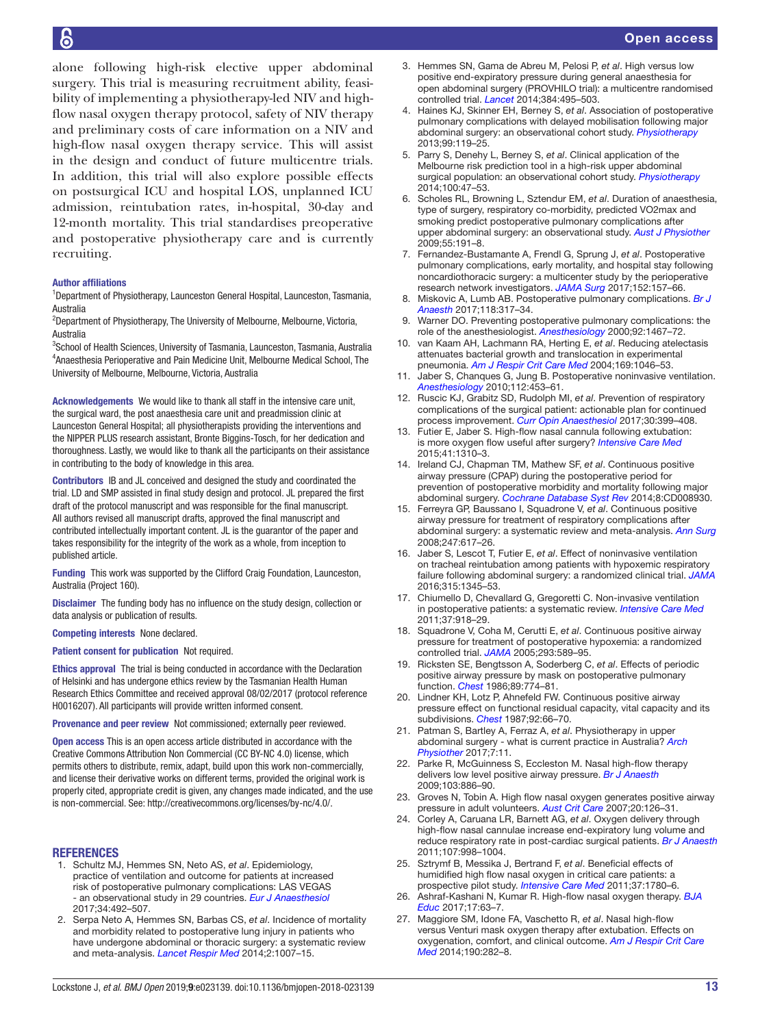alone following high-risk elective upper abdominal surgery. This trial is measuring recruitment ability, feasibility of implementing a physiotherapy-led NIV and highflow nasal oxygen therapy protocol, safety of NIV therapy and preliminary costs of care information on a NIV and high-flow nasal oxygen therapy service. This will assist in the design and conduct of future multicentre trials. In addition, this trial will also explore possible effects on postsurgical ICU and hospital LOS, unplanned ICU admission, reintubation rates, in-hospital, 30-day and 12-month mortality. This trial standardises preoperative and postoperative physiotherapy care and is currently recruiting.

#### Author affiliations

<sup>1</sup>Department of Physiotherapy, Launceston General Hospital, Launceston, Tasmania, Australia

<sup>2</sup>Department of Physiotherapy, The University of Melbourne, Melbourne, Victoria, Australia

<sup>3</sup>School of Health Sciences, University of Tasmania, Launceston, Tasmania, Australia 4 Anaesthesia Perioperative and Pain Medicine Unit, Melbourne Medical School, The University of Melbourne, Melbourne, Victoria, Australia

Acknowledgements We would like to thank all staff in the intensive care unit, the surgical ward, the post anaesthesia care unit and preadmission clinic at Launceston General Hospital; all physiotherapists providing the interventions and the NIPPER PLUS research assistant, Bronte Biggins-Tosch, for her dedication and thoroughness. Lastly, we would like to thank all the participants on their assistance in contributing to the body of knowledge in this area.

Contributors IB and JL conceived and designed the study and coordinated the trial. LD and SMP assisted in final study design and protocol. JL prepared the first draft of the protocol manuscript and was responsible for the final manuscript. All authors revised all manuscript drafts, approved the final manuscript and contributed intellectually important content. JL is the guarantor of the paper and takes responsibility for the integrity of the work as a whole, from inception to published article.

Funding This work was supported by the Clifford Craig Foundation, Launceston, Australia (Project 160).

Disclaimer The funding body has no influence on the study design, collection or data analysis or publication of results.

#### Competing interests None declared.

Patient consent for publication Not required.

Ethics approval The trial is being conducted in accordance with the Declaration of Helsinki and has undergone ethics review by the Tasmanian Health Human Research Ethics Committee and received approval 08/02/2017 (protocol reference H0016207). All participants will provide written informed consent.

Provenance and peer review Not commissioned; externally peer reviewed.

Open access This is an open access article distributed in accordance with the Creative Commons Attribution Non Commercial (CC BY-NC 4.0) license, which permits others to distribute, remix, adapt, build upon this work non-commercially, and license their derivative works on different terms, provided the original work is properly cited, appropriate credit is given, any changes made indicated, and the use is non-commercial. See: <http://creativecommons.org/licenses/by-nc/4.0/>.

#### **REFERENCES**

- <span id="page-12-0"></span>1. Schultz MJ, Hemmes SN, Neto AS, *et al*. Epidemiology, practice of ventilation and outcome for patients at increased risk of postoperative pulmonary complications: LAS VEGAS - an observational study in 29 countries. *[Eur J Anaesthesiol](http://dx.doi.org/10.1097/EJA.0000000000000646)* 2017;34:492–507.
- <span id="page-12-1"></span>2. Serpa Neto A, Hemmes SN, Barbas CS, *et al*. Incidence of mortality and morbidity related to postoperative lung injury in patients who have undergone abdominal or thoracic surgery: a systematic review and meta-analysis. *[Lancet Respir Med](http://dx.doi.org/10.1016/S2213-2600(14)70228-0)* 2014;2:1007–15.
- <span id="page-12-15"></span>3. Hemmes SN, Gama de Abreu M, Pelosi P, *et al*. High versus low positive end-expiratory pressure during general anaesthesia for open abdominal surgery (PROVHILO trial): a multicentre randomised controlled trial. *[Lancet](http://dx.doi.org/10.1016/S0140-6736(14)60416-5)* 2014;384:495–503.
- <span id="page-12-9"></span>4. Haines KJ, Skinner EH, Berney S, *et al*. Association of postoperative pulmonary complications with delayed mobilisation following major abdominal surgery: an observational cohort study. *[Physiotherapy](http://dx.doi.org/10.1016/j.physio.2012.05.013)* 2013;99:119–25.
- <span id="page-12-16"></span>5. Parry S, Denehy L, Berney S, *et al*. Clinical application of the Melbourne risk prediction tool in a high-risk upper abdominal surgical population: an observational cohort study. *[Physiotherapy](http://dx.doi.org/10.1016/j.physio.2013.05.002)* 2014;100:47–53.
- <span id="page-12-14"></span>6. Scholes RL, Browning L, Sztendur EM, *et al*. Duration of anaesthesia, type of surgery, respiratory co-morbidity, predicted VO2max and smoking predict postoperative pulmonary complications after upper abdominal surgery: an observational study. *[Aust J Physiother](http://dx.doi.org/10.1016/S0004-9514(09)70081-9)* 2009;55:191–8.
- 7. Fernandez-Bustamante A, Frendl G, Sprung J, *et al*. Postoperative pulmonary complications, early mortality, and hospital stay following noncardiothoracic surgery: a multicenter study by the perioperative research network investigators. *[JAMA Surg](http://dx.doi.org/10.1001/jamasurg.2016.4065)* 2017;152:157–66.
- <span id="page-12-2"></span>8. Miskovic A, Lumb AB. Postoperative pulmonary complications. *[Br J](http://dx.doi.org/10.1093/bja/aex002) [Anaesth](http://dx.doi.org/10.1093/bja/aex002)* 2017;118:317–34.
- 9. Warner DO. Preventing postoperative pulmonary complications: the role of the anesthesiologist. *[Anesthesiology](http://www.ncbi.nlm.nih.gov/pubmed/10781293)* 2000;92:1467–72.
- <span id="page-12-3"></span>10. van Kaam AH, Lachmann RA, Herting E, *et al*. Reducing atelectasis attenuates bacterial growth and translocation in experimental pneumonia. *[Am J Respir Crit Care Med](http://dx.doi.org/10.1164/rccm.200312-1779OC)* 2004;169:1046–53.
- <span id="page-12-6"></span>11. Jaber S, Chanques G, Jung B. Postoperative noninvasive ventilation. *[Anesthesiology](http://dx.doi.org/10.1097/ALN.0b013e3181c5e5f2)* 2010;112:453–61.
- <span id="page-12-4"></span>12. Ruscic KJ, Grabitz SD, Rudolph MI, *et al*. Prevention of respiratory complications of the surgical patient: actionable plan for continued process improvement. *[Curr Opin Anaesthesiol](http://dx.doi.org/10.1097/ACO.0000000000000465)* 2017;30:399–408.
- <span id="page-12-5"></span>13. Futier E, Jaber S. High-flow nasal cannula following extubation: is more oxygen flow useful after surgery? *[Intensive Care Med](http://dx.doi.org/10.1007/s00134-015-3902-2)* 2015;41:1310–3.
- <span id="page-12-7"></span>14. Ireland CJ, Chapman TM, Mathew SF, *et al*. Continuous positive airway pressure (CPAP) during the postoperative period for prevention of postoperative morbidity and mortality following major abdominal surgery. *[Cochrane Database Syst Rev](http://dx.doi.org/10.1002/14651858.CD008930.pub2)* 2014;8:CD008930.
- 15. Ferreyra GP, Baussano I, Squadrone V, *et al*. Continuous positive airway pressure for treatment of respiratory complications after abdominal surgery: a systematic review and meta-analysis. *[Ann Surg](http://dx.doi.org/10.1097/SLA.0b013e3181675829)* 2008;247:617–26.
- 16. Jaber S, Lescot T, Futier E, *et al*. Effect of noninvasive ventilation on tracheal reintubation among patients with hypoxemic respiratory failure following abdominal surgery: a randomized clinical trial. *[JAMA](http://dx.doi.org/10.1001/jama.2016.2706)* 2016;315:1345–53.
- 17. Chiumello D, Chevallard G, Gregoretti C. Non-invasive ventilation in postoperative patients: a systematic review. *[Intensive Care Med](http://dx.doi.org/10.1007/s00134-011-2210-8)* 2011;37:918–29.
- <span id="page-12-8"></span>18. Squadrone V, Coha M, Cerutti E, *et al*. Continuous positive airway pressure for treatment of postoperative hypoxemia: a randomized controlled trial. *[JAMA](http://dx.doi.org/10.1001/jama.293.5.589)* 2005;293:589–95.
- 19. Ricksten SE, Bengtsson A, Soderberg C, *et al*. Effects of periodic positive airway pressure by mask on postoperative pulmonary function. *[Chest](http://dx.doi.org/10.1378/chest.89.6.774)* 1986;89:774–81.
- 20. Lindner KH, Lotz P, Ahnefeld FW. Continuous positive airway pressure effect on functional residual capacity, vital capacity and its subdivisions. *[Chest](http://dx.doi.org/10.1378/chest.92.1.66)* 1987;92:66–70.
- 21. Patman S, Bartley A, Ferraz A, *et al*. Physiotherapy in upper abdominal surgery - what is current practice in Australia? *[Arch](http://dx.doi.org/10.1186/s40945-017-0039-3) [Physiother](http://dx.doi.org/10.1186/s40945-017-0039-3)* 2017;7:11.
- <span id="page-12-10"></span>22. Parke R, McGuinness S, Eccleston M. Nasal high-flow therapy delivers low level positive airway pressure. *[Br J Anaesth](http://dx.doi.org/10.1093/bja/aep280)* 2009;103:886–90.
- 23. Groves N, Tobin A. High flow nasal oxygen generates positive airway pressure in adult volunteers. *[Aust Crit Care](http://dx.doi.org/10.1016/j.aucc.2007.08.001)* 2007;20:126–31.
- <span id="page-12-11"></span>24. Corley A, Caruana LR, Barnett AG, *et al*. Oxygen delivery through high-flow nasal cannulae increase end-expiratory lung volume and reduce respiratory rate in post-cardiac surgical patients. *[Br J Anaesth](http://dx.doi.org/10.1093/bja/aer265)* 2011;107:998–1004.
- 25. Sztrymf B, Messika J, Bertrand F, *et al*. Beneficial effects of humidified high flow nasal oxygen in critical care patients: a prospective pilot study. *[Intensive Care Med](http://dx.doi.org/10.1007/s00134-011-2354-6)* 2011;37:1780–6.
- <span id="page-12-12"></span>26. Ashraf-Kashani N, Kumar R. High-flow nasal oxygen therapy. *[BJA](http://dx.doi.org/10.1093/bjaed/mkw041) [Educ](http://dx.doi.org/10.1093/bjaed/mkw041)* 2017;17:63–7.
- <span id="page-12-13"></span>27. Maggiore SM, Idone FA, Vaschetto R, *et al*. Nasal high-flow versus Venturi mask oxygen therapy after extubation. Effects on oxygenation, comfort, and clinical outcome. *[Am J Respir Crit Care](http://dx.doi.org/10.1164/rccm.201402-0364OC) [Med](http://dx.doi.org/10.1164/rccm.201402-0364OC)* 2014;190:282–8.